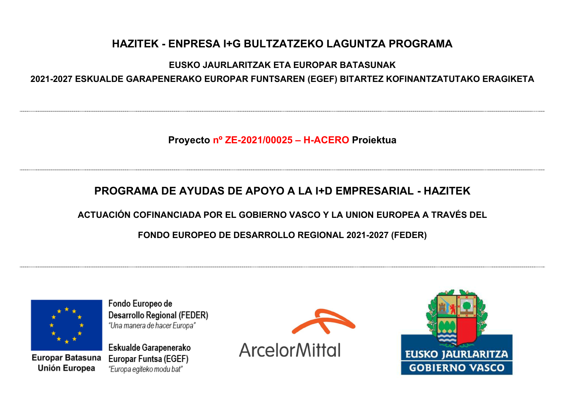## **EUSKO JAURLARITZAK ETA EUROPAR BATASUNAK 2021-2027 ESKUALDE GARAPENERAKO EUROPAR FUNTSAREN (EGEF) BITARTEZ KOFINANTZATUTAKO ERAGIKETA**

**Proyecto nº ZE-2021/00025 ± H-ACERO Proiektua**

# **PROGRAMA DE AYUDAS DE APOYO A LA I+D EMPRESARIAL - HAZITEK**

**ACTUACIÓN COFINANCIADA POR EL GOBIERNO VASCO Y LA UNION EUROPEA A TRAVÉS DEL**

**FONDO EUROPEO DE DESARROLLO REGIONAL 2021-2027 (FEDER)**



Europar Batasuna **Unión Europea** 

Fondo Europeo de Desarrollo Regional (FEDER) "Una manera de hacer Europa"



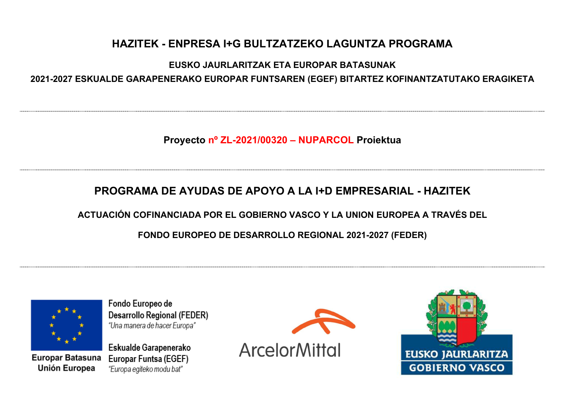## **EUSKO JAURLARITZAK ETA EUROPAR BATASUNAK 2021-2027 ESKUALDE GARAPENERAKO EUROPAR FUNTSAREN (EGEF) BITARTEZ KOFINANTZATUTAKO ERAGIKETA**

**Proyecto nº ZL-2021/00320 ± NUPARCOL Proiektua**

# **PROGRAMA DE AYUDAS DE APOYO A LA I+D EMPRESARIAL - HAZITEK**

**ACTUACIÓN COFINANCIADA POR EL GOBIERNO VASCO Y LA UNION EUROPEA A TRAVÉS DEL**

**FONDO EUROPEO DE DESARROLLO REGIONAL 2021-2027 (FEDER)**



Europar Batasuna **Unión Europea** 

Fondo Europeo de Desarrollo Regional (FEDER) "Una manera de hacer Europa"



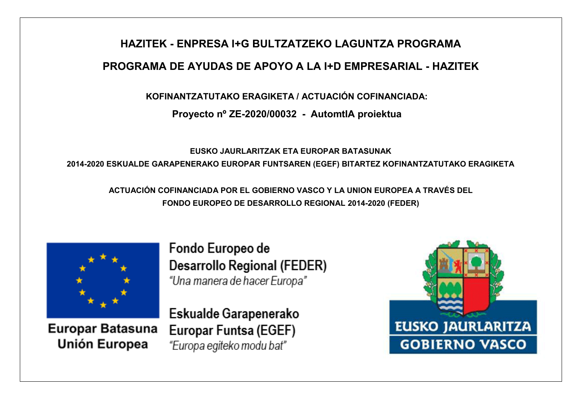# **HAZITEK - ENPRESA I+G BULTZATZEKO LAGUNTZA PROGRAMA PROGRAMA DE AYUDAS DE APOYO A LA I+D EMPRESARIAL - HAZITEK**

**KOFINANTZATUTAKO ERAGIKETA / ACTUACIÓN COFINANCIADA:**

**Proyecto nº ZE-2020/00032 - AutomtIA proiektua**

**EUSKO JAURLARITZAK ETA EUROPAR BATASUNAK 2014-2020 ESKUALDE GARAPENERAKO EUROPAR FUNTSAREN (EGEF) BITARTEZ KOFINANTZATUTAKO ERAGIKETA**

**ACTUACIÓN COFINANCIADA POR EL GOBIERNO VASCO Y LA UNION EUROPEA A TRAVÉS DEL FONDO EUROPEO DE DESARROLLO REGIONAL 2014-2020 (FEDER)**



Europar Batasuna Unión Europea

Fondo Europeo de Desarrollo Regional (FEDER) "Una manera de hacer Europa"

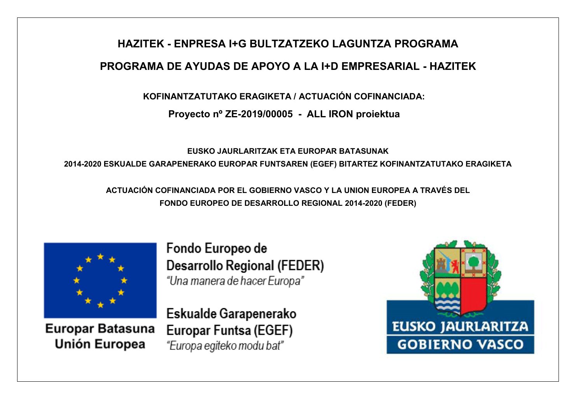# **HAZITEK - ENPRESA I+G BULTZATZEKO LAGUNTZA PROGRAMA PROGRAMA DE AYUDAS DE APOYO A LA I+D EMPRESARIAL - HAZITEK**

**KOFINANTZATUTAKO ERAGIKETA / ACTUACIÓN COFINANCIADA:**

**Proyecto nº ZE-2019/00005 - ALL IRON proiektua**

**EUSKO JAURLARITZAK ETA EUROPAR BATASUNAK 2014-2020 ESKUALDE GARAPENERAKO EUROPAR FUNTSAREN (EGEF) BITARTEZ KOFINANTZATUTAKO ERAGIKETA**

**ACTUACIÓN COFINANCIADA POR EL GOBIERNO VASCO Y LA UNION EUROPEA A TRAVÉS DEL FONDO EUROPEO DE DESARROLLO REGIONAL 2014-2020 (FEDER)**



**Europar Batasuna** Unión Europea

Fondo Europeo de Desarrollo Regional (FEDER) "Una manera de hacer Europa"

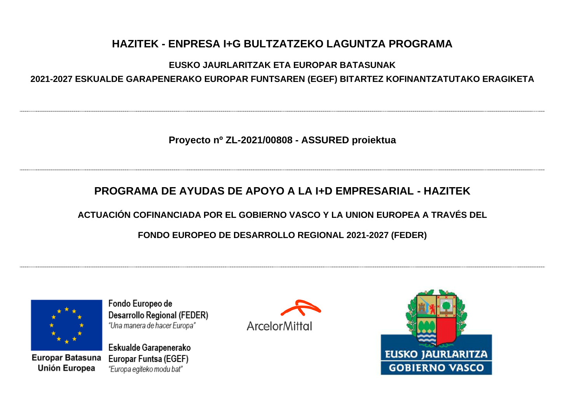## **EUSKO JAURLARITZAK ETA EUROPAR BATASUNAK 2021-2027 ESKUALDE GARAPENERAKO EUROPAR FUNTSAREN (EGEF) BITARTEZ KOFINANTZATUTAKO ERAGIKETA**

**Proyecto nº ZL-2021/00808 - ASSURED proiektua**

## **PROGRAMA DE AYUDAS DE APOYO A LA I+D EMPRESARIAL - HAZITEK**

**ACTUACIÓN COFINANCIADA POR EL GOBIERNO VASCO Y LA UNION EUROPEA A TRAVÉS DEL**

**FONDO EUROPEO DE DESARROLLO REGIONAL 2021-2027 (FEDER)**



Europar Batasuna **Unión Europea** 

Fondo Europeo de Desarrollo Regional (FEDER) "Una manera de hacer Europa"